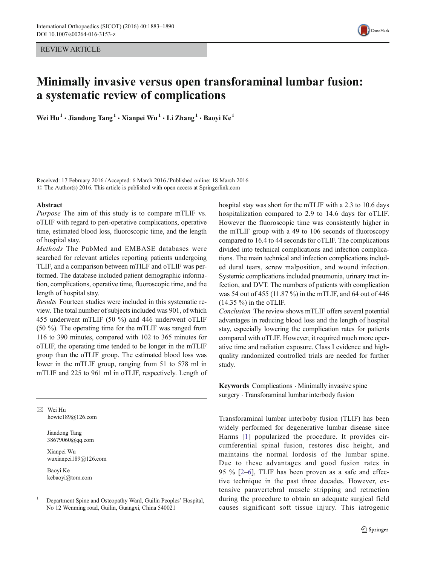REVIEW ARTICLE



# Minimally invasive versus open transforaminal lumbar fusion: a systematic review of complications

Wei  $\text{Hu}^1 \cdot \text{Ji}$ andong  $\text{Tang}^1 \cdot \text{Xi}$ anpei Wu $^1 \cdot \text{Li Zhang}^1 \cdot \text{Bao}$ yi Ke<sup>1</sup>

Received: 17 February 2016 /Accepted: 6 March 2016 /Published online: 18 March 2016  $\odot$  The Author(s) 2016. This article is published with open access at Springerlink.com

#### Abstract

Purpose The aim of this study is to compare mTLIF vs. oTLIF with regard to peri-operative complications, operative time, estimated blood loss, fluoroscopic time, and the length of hospital stay.

Methods The PubMed and EMBASE databases were searched for relevant articles reporting patients undergoing TLIF, and a comparison between mTILF and oTLIF was performed. The database included patient demographic information, complications, operative time, fluoroscopic time, and the length of hospital stay.

Results Fourteen studies were included in this systematic review. The total number of subjects included was 901, of which 455 underwent mTLIF (50 %) and 446 underwent oTLIF (50 %). The operating time for the mTLIF was ranged from 116 to 390 minutes, compared with 102 to 365 minutes for oTLIF, the operating time tended to be longer in the mTLIF group than the oTLIF group. The estimated blood loss was lower in the mTLIF group, ranging from 51 to 578 ml in mTLIF and 225 to 961 ml in oTLIF, respectively. Length of

 $\boxtimes$  Wei Hu howie189@126.com

> Jiandong Tang 38679060@qq.com

Xianpei Wu wuxianpei189@126.com

Baoyi Ke kebaoyi@tom.com hospital stay was short for the mTLIF with a 2.3 to 10.6 days hospitalization compared to 2.9 to 14.6 days for oTLIF. However the fluoroscopic time was consistently higher in the mTLIF group with a 49 to 106 seconds of fluoroscopy compared to 16.4 to 44 seconds for oTLIF. The complications divided into technical complications and infection complications. The main technical and infection complications included dural tears, screw malposition, and wound infection. Systemic complications included pneumonia, urinary tract infection, and DVT. The numbers of patients with complication was 54 out of 455 (11.87 %) in the mTLIF, and 64 out of 446  $(14.35\%)$  in the oTLIF.

Conclusion The review shows mTLIF offers several potential advantages in reducing blood loss and the length of hospital stay, especially lowering the complication rates for patients compared with oTLIF. However, it required much more operative time and radiation exposure. Class I evidence and highquality randomized controlled trials are needed for further study.

Keywords Complications  $\cdot$  Minimally invasive spine surgery . Transforaminal lumbar interbody fusion

Transforaminal lumbar interboby fusion (TLIF) has been widely performed for degenerative lumbar disease since Harms [\[1](#page-6-0)] popularized the procedure. It provides circumferential spinal fusion, restores disc height, and maintains the normal lordosis of the lumbar spine. Due to these advantages and good fusion rates in 95 % [\[2](#page-6-0)–[6\]](#page-6-0), TLIF has been proven as a safe and effective technique in the past three decades. However, extensive paravertebral muscle stripping and retraction during the procedure to obtain an adequate surgical field causes significant soft tissue injury. This iatrogenic

<sup>1</sup> Department Spine and Osteopathy Ward, Guilin Peoples' Hospital, No 12 Wenming road, Guilin, Guangxi, China 540021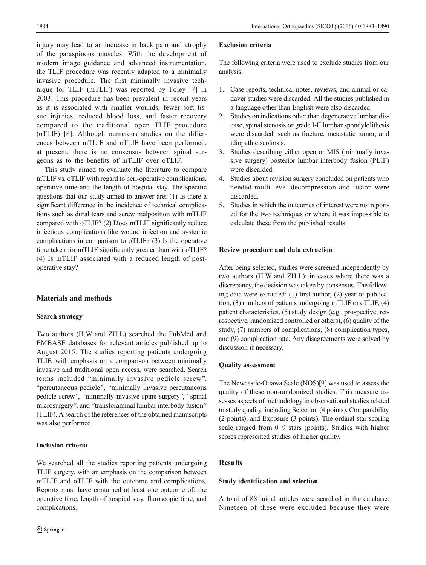injury may lead to an increase in back pain and atrophy of the paraspinous muscles. With the development of modern image guidance and advanced instrumentation, the TLIF procedure was recently adapted to a minimally invasive procedure. The first minimally invasive technique for TLIF (mTLIF) was reported by Foley [[7](#page-6-0)] in 2003. This procedure has been prevalent in recent years as it is associated with smaller wounds, fewer soft tissue injuries, reduced blood loss, and faster recovery compared to the traditional open TLIF procedure (oTLIF) [[8\]](#page-6-0). Although numerous studies on the differences between mTLIF and oTLIF have been performed, at present, there is no consensus between spinal surgeons as to the benefits of mTLIF over oTLIF.

This study aimed to evaluate the literature to compare mTLIF vs. oTLIF with regard to peri-operative complications, operative time and the length of hospital stay. The specific questions that our study aimed to answer are: (1) Is there a significant difference in the incidence of technical complications such as dural tears and screw malposition with mTLIF compared with oTLIF? (2) Does mTLIF significantly reduce infectious complications like wound infection and systemic complications in comparison to oTLIF? (3) Is the operative time taken for mTLIF significantly greater than with oTLIF? (4) Is mTLIF associated with a reduced length of postoperative stay?

# Materials and methods

## Search strategy

Two authors (H.W and ZH.L) searched the PubMed and EMBASE databases for relevant articles published up to August 2015. The studies reporting patients undergoing TLIF, with emphasis on a comparison between minimally invasive and traditional open access, were searched. Search terms included "minimally invasive pedicle screw", "percutaneous pedicle", "minimally invasive percutaneous pedicle screw", "minimally invasive spine surgery", "spinal microsurgery", and "transforaminal lumbar interbody fusion" (TLIF). A search of the references of the obtained manuscripts was also performed.

## Inclusion criteria

We searched all the studies reporting patients undergoing TLIF surgery, with an emphasis on the comparison between mTLIF and oTLIF with the outcome and complications. Reports must have contained at least one outcome of: the operative time, length of hospital stay, fluroscopic time, and complications.

#### Exclusion criteria

The following criteria were used to exclude studies from our analysis:

- 1. Case reports, technical notes, reviews, and animal or cadaver studies were discarded. All the studies published in a language other than English were also discarded.
- 2. Studies on indications other than degenerative lumbar disease, spinal stenosis or grade I-II lumbar spondylolithesis were discarded, such as fracture, metastatic tumor, and idiopathic scoliosis.
- 3. Studies describing either open or MIS (minimally invasive surgery) posterior lumbar interbody fusion (PLIF) were discarded.
- 4. Studies about revision surgery concluded on patients who needed multi-level decompression and fusion were discarded.
- 5. Studies in which the outcomes of interest were not reported for the two techniques or where it was impossible to calculate these from the published results.

## Review procedure and data extraction

After being selected, studies were screened independently by two authors (H.W and ZH.L); in cases where there was a discrepancy, the decision was taken by consensus. The following data were extracted: (1) first author, (2) year of publication, (3) numbers of patients undergoing mTLIF or oTLIF, (4) patient characteristics, (5) study design (e.g., prospective, retrospective, randomized controlled or others), (6) quality of the study, (7) numbers of complications, (8) complication types, and (9) complication rate. Any disagreements were solved by discussion if necessary.

## Quality assessment

The Newcastle-Ottawa Scale (NOS)[\[9\]](#page-6-0) was used to assess the quality of these non-randomized studies. This measure assesses aspects of methodology in observational studies related to study quality, including Selection (4 points), Comparability (2 points), and Exposure (3 points). The ordinal star scoring scale ranged from 0–9 stars (points). Studies with higher scores represented studies of higher quality.

# **Results**

## Study identification and selection

A total of 88 initial articles were searched in the database. Nineteen of these were excluded because they were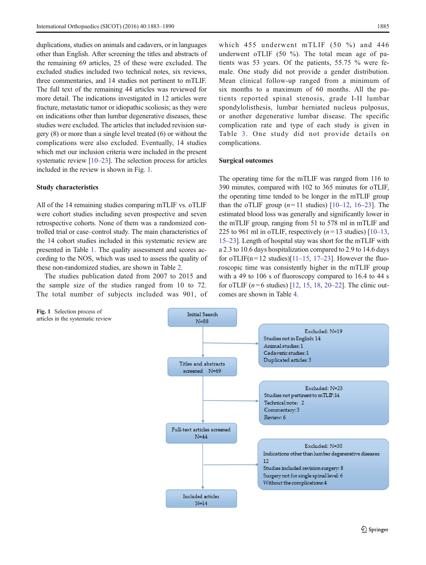duplications, studies on animals and cadavers, or in languages other than English. After screening the titles and abstracts of the remaining 69 articles, 25 of these were excluded. The excluded studies included two technical notes, six reviews, three commentaries, and 14 studies not pertinent to mTLIF. The full text of the remaining 44 articles was reviewed for more detail. The indications investigated in 12 articles were fracture, metastatic tumor or idiopathic scoliosis; as they were on indications other than lumbar degenerative diseases, these studies were excluded. The articles that included revision surgery (8) or more than a single level treated (6) or without the complications were also excluded. Eventually, 14 studies which met our inclusion criteria were included in the present systematic review [\[10](#page-6-0)–[23\]](#page-7-0). The selection process for articles included in the review is shown in Fig. 1.

#### Study characteristics

All of the 14 remaining studies comparing mTLIF vs. oTLIF were cohort studies including seven prospective and seven retrospective cohorts. None of them was a randomized controlled trial or case–control study. The main characteristics of the 14 cohort studies included in this systematic review are presented in Table [1.](#page-3-0) The quality assessment and scores according to the NOS, which was used to assess the quality of these non-randomized studies, are shown in Table [2](#page-3-0).

The studies publication dated from 2007 to 2015 and the sample size of the studies ranged from 10 to 72. The total number of subjects included was 901, of

Fig. 1 Selection process of articles in the systematic review

which 455 underwent mTLIF (50 %) and 446 underwent oTLIF (50 %). The total mean age of patients was 53 years. Of the patients, 55.75 % were female. One study did not provide a gender distribution. Mean clinical follow-up ranged from a minimum of six months to a maximum of 60 months. All the patients reported spinal stenosis, grade I-II lumbar spondylolisthesis, lumbar herniated nucleus pulposus, or another degenerative lumbar disease. The specific complication rate and type of each study is given in Table [3](#page-4-0). One study did not provide details on complications.

#### Surgical outcomes

The operating time for the mTLIF was ranged from 116 to 390 minutes, compared with 102 to 365 minutes for oTLIF, the operating time tended to be longer in the mTLIF group than the oTLIF group  $(n=11 \text{ studies})$  [\[10](#page-6-0)–[12,](#page-6-0) [16](#page-6-0)–[23\]](#page-7-0). The estimated blood loss was generally and significantly lower in the mTLIF group, ranging from 51 to 578 ml in mTLIF and 225 to 961 ml in oTLIF, respectively  $(n=13 \text{ studies})$  [\[10](#page-6-0)–[13,](#page-6-0) [15](#page-6-0)–[23\]](#page-7-0). Length of hospital stay was short for the mTLIF with a 2.3 to 10.6 days hospitalization compared to 2.9 to 14.6 days for oTLIF(n=12 studies)[\[11](#page-6-0)–[15,](#page-6-0) [17](#page-6-0)–[23\]](#page-7-0). However the fluoroscopic time was consistently higher in the mTLIF group with a 49 to 106 s of fluoroscopy compared to 16.4 to 44 s for oTLIF ( $n = 6$  studies) [[12](#page-6-0), [15](#page-6-0), [18](#page-6-0), [20](#page-7-0)–[22](#page-7-0)]. The clinic outcomes are shown in Table [4](#page-5-0).

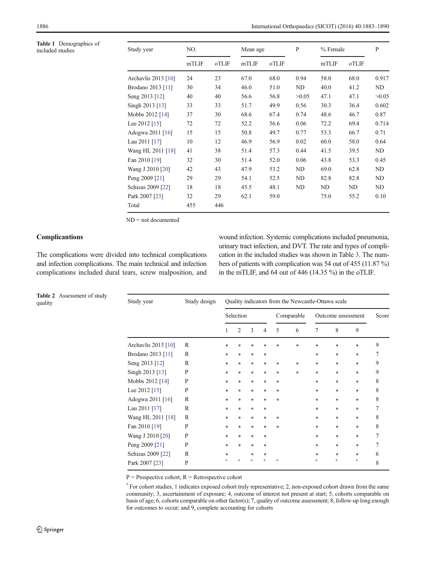<span id="page-3-0"></span>

| <b>Table 1</b> Demographics of<br>included studies | Study year          | NO.   |       | Mean age |       | $\mathbf{P}$ | % Female |       | P     |
|----------------------------------------------------|---------------------|-------|-------|----------|-------|--------------|----------|-------|-------|
|                                                    |                     | mTLIF | oTLIF | mTLIF    | oTLIF |              | mTLIF    | oTLIF |       |
|                                                    | Archavlis 2013 [10] | 24    | 23    | 67.0     | 68.0  | 0.94         | 58.0     | 68.0  | 0.917 |
|                                                    | Brodano 2013 [11]   | 30    | 34    | 46.0     | 51.0  | ND           | 40.0     | 41.2  | ND    |
|                                                    | Seng 2013 [12]      | 40    | 40    | 56.6     | 56.8  | >0.05        | 47.1     | 47.1  | >0.05 |
|                                                    | Singh 2013 [13]     | 33    | 33    | 51.7     | 49.9  | 0.56         | 30.3     | 36.4  | 0.602 |
|                                                    | Mobbs 2012 [14]     | 37    | 30    | 68.6     | 67.4  | 0.74         | 48.6     | 46.7  | 0.87  |
|                                                    | Lee 2012 [15]       | 72    | 72    | 52.2     | 56.6  | 0.06         | 72.2     | 69.4  | 0.714 |
|                                                    | Adogwa 2011 [16]    | 15    | 15    | 50.8     | 49.7  | 0.77         | 53.3     | 66.7  | 0.71  |
|                                                    | Lau 2011 [17]       | 10    | 12    | 46.9     | 56.9  | 0.02         | 60.0     | 58.0  | 0.64  |
|                                                    | Wang HL 2011 [18]   | 41    | 38    | 51.4     | 57.3  | 0.44         | 41.5     | 39.5  | ND    |
|                                                    | Fan 2010 [19]       | 32    | 30    | 51.4     | 52.0  | 0.06         | 43.8     | 53.3  | 0.45  |
|                                                    | Wang J 2010 [20]    | 42    | 43    | 47.9     | 53.2  | ND           | 69.0     | 62.8  | ND    |
|                                                    | Peng 2009 [21]      | 29    | 29    | 54.1     | 52.5  | ND           | 82.8     | 82.8  | ND    |
|                                                    | Schizas 2009 [22]   | 18    | 18    | 45.5     | 48.1  | ND           | ND       | ND    | ND    |
|                                                    | Park 2007 [23]      | 32    | 29    | 62.1     | 59.0  |              | 75.0     | 55.2  | 0.10  |
|                                                    | Total               | 455   | 446   |          |       |              |          |       |       |

ND = not documented

## **Complicantions**

Table 2 Assessment of study quality

The complications were divided into technical complications and infection complications. The main technical and infection complications included dural tears, screw malposition, and wound infection. Systemic complications included pneumonia, urinary tract infection, and DVT. The rate and types of complication in the included studies was shown in Table [3.](#page-4-0) The numbers of patients with complication was 54 out of 455 (11.87 %) in the mTLIF, and 64 out of 446 (14.35 %) in the oTLIF.

| Table 2<br>Assessment of study<br>quality | Study year          | Study design | Quality indicators from the Newcastle-Ottawa scale |                |        |            |     |                    |        |        |        |   |
|-------------------------------------------|---------------------|--------------|----------------------------------------------------|----------------|--------|------------|-----|--------------------|--------|--------|--------|---|
|                                           |                     |              | Selection                                          |                |        | Comparable |     | Outcome assessment |        | Score  |        |   |
|                                           |                     |              |                                                    | $\overline{2}$ | 3      | 4          | 5   | 6                  | 7      | 8      | 9      |   |
|                                           | Archavlis 2013 [10] | $\mathbb{R}$ | *                                                  | *              | $\ast$ | *          | *   | $\ast$             | $\ast$ | $\ast$ | $\ast$ | 9 |
|                                           | Brodano 2013 [11]   | $\mathbb{R}$ | $\ast$                                             | $\ast$         | $\ast$ | $\ast$     |     |                    | *      | $\ast$ | $\ast$ | 7 |
|                                           | Seng 2013 [12]      | $\mathbb{R}$ | $\ast$                                             | $\ast$         | $\ast$ | $\ast$     | $*$ | *                  | *      | $\ast$ | $\ast$ | 9 |
|                                           | Singh 2013 [13]     | P            | $\ast$                                             | *              | $\ast$ | $\ast$     | *   | $\ast$             | $\ast$ | $\ast$ | $\ast$ | 9 |
|                                           | Mobbs 2012 [14]     | P            | $\ast$                                             | $\ast$         | $\ast$ | $\ast$     | *   |                    | $\ast$ | $\ast$ | $\ast$ | 8 |
|                                           | Lee 2012 [15]       | P            | $\ast$                                             | $\ast$         | $\ast$ | $\ast$     | *   |                    | $\ast$ | $\ast$ | $\ast$ | 8 |
|                                           | Adogwa 2011 [16]    | $\mathbb{R}$ | $\ast$                                             | $\ast$         | $\ast$ | $\ast$     | *   |                    | *      | $\ast$ | $\ast$ | 8 |
|                                           | Lau 2011 [17]       | $\mathbb{R}$ | $\ast$                                             | *              | $\ast$ | $\ast$     |     |                    | $\ast$ | $\ast$ | $\ast$ | 7 |
|                                           | Wang HL 2011 [18]   | $\mathbb{R}$ | $\ast$                                             | *              | $\ast$ | $\ast$     | *   |                    | $\ast$ | $\ast$ | $\ast$ | 8 |
|                                           | Fan 2010 [19]       | P            | $\ast$                                             | *              | $\ast$ | $\ast$     | *   |                    | $\ast$ | $\ast$ | $\ast$ | 8 |
|                                           | Wang J 2010 [20]    | P            | $\ast$                                             | *              | $\ast$ | $\ast$     |     |                    | $\ast$ | $\ast$ | $\ast$ | 7 |
|                                           | Peng 2009 [21]      | P            | $\ast$                                             | *              | $\ast$ | $\ast$     |     |                    | *      | $\ast$ | $\ast$ | 7 |
|                                           | Schizas 2009 [22]   | $\mathbb{R}$ | *                                                  |                | $\ast$ | *          |     |                    | *      | $\ast$ | $\ast$ | 6 |
|                                           | Park 2007 [23]      | P            |                                                    |                |        |            |     |                    |        |        | $\ast$ | 8 |

 $P =$  Prospective cohort,  $R =$  Retrospective cohort

\* For cohort studies, 1 indicates exposed cohort truly representative; 2, non-exposed cohort drawn from the same community; 3, ascertainment of exposure; 4, outcome of interest not present at start; 5, cohorts comparable on basis of age; 6, cohorts comparable on other factor(s); 7, quality of outcome assessment; 8, follow-up long enough for outcomes to occur; and 9, complete accounting for cohorts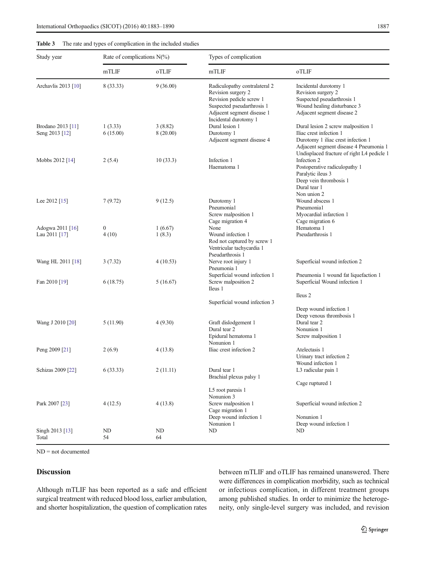<span id="page-4-0"></span>

| Study year                          | Rate of complications $N(\%)$ |                     | Types of complication                                                                                                                                                |                                                                                                                                                                                             |  |  |  |  |
|-------------------------------------|-------------------------------|---------------------|----------------------------------------------------------------------------------------------------------------------------------------------------------------------|---------------------------------------------------------------------------------------------------------------------------------------------------------------------------------------------|--|--|--|--|
|                                     | mTLIF                         | oTLIF               | mTLIF                                                                                                                                                                | oTLIF                                                                                                                                                                                       |  |  |  |  |
| Archavlis 2013 [10]                 | 8 (33.33)                     | 9(36.00)            | Radiculopathy contralateral 2<br>Revision surgery 2<br>Revision pedicle screw 1<br>Suspected pseudarthrosis 1<br>Adjacent segment disease 1<br>Incidental durotomy 1 | Incidental durotomy 1<br>Revision surgery 2<br>Suspected pseudarthrosis 1<br>Wound healing disturbance 3<br>Adjacent segment disease 2                                                      |  |  |  |  |
| Brodano 2013 [11]<br>Seng 2013 [12] | 1(3.33)<br>6(15.00)           | 3(8.82)<br>8(20.00) | Dural lesion 1<br>Durotomy 1<br>Adjacent segment disease 4                                                                                                           | Dural lesion 2 screw malposition 1<br>Iliac crest infection 1<br>Durotomy 1 iliac crest infection 1<br>Adjacent segment disease 4 Pneumonia 1<br>Undisplaced fracture of right L4 pedicle 1 |  |  |  |  |
| Mobbs 2012 [14]                     | 2(5.4)                        | 10(33.3)            | Infection 1<br>Haematoma 1                                                                                                                                           | Infection 2<br>Postoperative radiculopathy 1<br>Paralytic ileus 3<br>Deep vein thrombosis 1<br>Dural tear 1<br>Non union 2                                                                  |  |  |  |  |
| Lee 2012 [15]                       | 7(9.72)                       | 9(12.5)             | Durotomy 1<br>Pneumonia1<br>Screw malposition 1<br>Cage migration 4                                                                                                  | Wound abscess 1<br>Pneumonia1<br>Myocardial infarction 1<br>Cage migration 6                                                                                                                |  |  |  |  |
| Adogwa 2011 [16]<br>Lau 2011 [17]   | $\boldsymbol{0}$<br>4(10)     | 1(6.67)<br>1(8.3)   | None<br>Wound infection 1<br>Rod not captured by screw 1<br>Ventricular tachycardia 1<br>Pseudarthrosis 1                                                            | Hematoma 1<br>Pseudarthrosis 1                                                                                                                                                              |  |  |  |  |
| Wang HL 2011 [18]                   | 3(7.32)                       | 4(10.53)            | Nerve root injury 1<br>Pneumonia 1                                                                                                                                   | Superficial wound infection 2                                                                                                                                                               |  |  |  |  |
| Fan 2010 [19]                       | 6(18.75)                      | 5(16.67)            | Superficial wound infection 1<br>Screw malposition 2<br>Ileus 1                                                                                                      | Pneumonia 1 wound fat liquefaction 1<br>Superficial Wound infection 1<br>Ileus 2                                                                                                            |  |  |  |  |
|                                     |                               |                     | Superficial wound infection 3                                                                                                                                        | Deep wound infection 1<br>Deep venous thrombosis 1                                                                                                                                          |  |  |  |  |
| Wang J 2010 [20]                    | 5 (11.90)                     | 4(9.30)             | Graft dislodgement 1<br>Dural tear 2<br>Epidural hematoma 1<br>Nonunion 1                                                                                            | Dural tear 2<br>Nonunion 1<br>Screw malposition 1                                                                                                                                           |  |  |  |  |
| Peng 2009 [21]                      | 2(6.9)                        | 4(13.8)             | Iliac crest infection 2                                                                                                                                              | Atelectasis 1<br>Urinary tract infection 2<br>Wound infection 1                                                                                                                             |  |  |  |  |
| Schizas 2009 [22]                   | 6(33.33)                      | 2(11.11)            | Dural tear 1<br>Brachial plexus palsy 1                                                                                                                              | L3 radicular pain 1<br>Cage ruptured 1                                                                                                                                                      |  |  |  |  |
| Park 2007 [23]                      | 4(12.5)                       | 4(13.8)             | L5 root paresis 1<br>Nonunion 3<br>Screw malposition 1<br>Cage migration 1<br>Deep wound infection 1<br>Nonunion 1                                                   | Superficial wound infection 2<br>Nonunion 1<br>Deep wound infection 1                                                                                                                       |  |  |  |  |
| Singh 2013 [13]<br>Total            | ND<br>54                      | ND<br>64            | ND                                                                                                                                                                   | ND.                                                                                                                                                                                         |  |  |  |  |

ND = not documented

# Discussion

Although mTLIF has been reported as a safe and efficient surgical treatment with reduced blood loss, earlier ambulation, and shorter hospitalization, the question of complication rates between mTLIF and oTLIF has remained unanswered. There were differences in complication morbidity, such as technical or infectious complication, in different treatment groups among published studies. In order to minimize the heterogeneity, only single-level surgery was included, and revision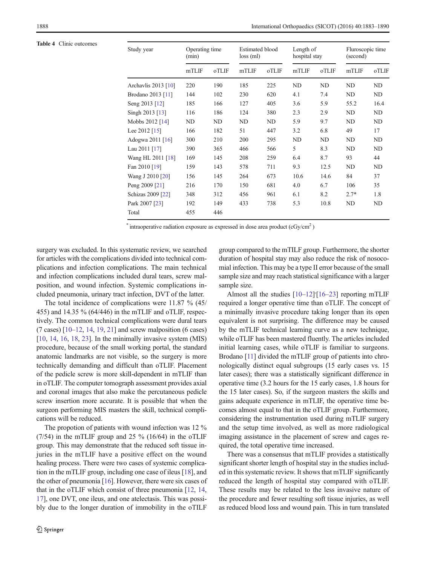<span id="page-5-0"></span>Table 4 Clinic outcomes

| Study year          | Operating time<br>(min) |       | <b>Estimated blood</b><br>$loss$ (ml) |       | Length of<br>hospital stay |           | Fluroscopic time<br>(second) |       |
|---------------------|-------------------------|-------|---------------------------------------|-------|----------------------------|-----------|------------------------------|-------|
|                     | mTLIF                   | oTLIF | mTLIF                                 | oTLIF | mTLIF                      | oTLIF     | mTLIF                        | oTLIF |
| Archavlis 2013 [10] | 220                     | 190   | 185                                   | 225   | ND                         | <b>ND</b> | ND                           | ND    |
| Brodano 2013 [11]   | 144                     | 102   | 230                                   | 620   | 4.1                        | 7.4       | ND                           | ND    |
| Seng 2013 [12]      | 185                     | 166   | 127                                   | 405   | 3.6                        | 5.9       | 55.2                         | 16.4  |
| Singh 2013 [13]     | 116                     | 186   | 124                                   | 380   | 2.3                        | 2.9       | ND                           | ND    |
| Mobbs 2012 [14]     | ND                      | ND    | ND                                    | ND    | 5.9                        | 9.7       | ND                           | ND    |
| Lee 2012 [15]       | 166                     | 182   | 51                                    | 447   | 3.2                        | 6.8       | 49                           | 17    |
| Adogwa 2011 [16]    | 300                     | 210   | 200                                   | 295   | ND                         | ND        | ND                           | ND    |
| Lau 2011 [17]       | 390                     | 365   | 466                                   | 566   | 5                          | 8.3       | ND                           | ND    |
| Wang HL 2011 [18]   | 169                     | 145   | 208                                   | 259   | 6.4                        | 8.7       | 93                           | 44    |
| Fan 2010 [19]       | 159                     | 143   | 578                                   | 711   | 9.3                        | 12.5      | ND                           | ND    |
| Wang J 2010 [20]    | 156                     | 145   | 264                                   | 673   | 10.6                       | 14.6      | 84                           | 37    |
| Peng 2009 [21]      | 216                     | 170   | 150                                   | 681   | 4.0                        | 6.7       | 106                          | 35    |
| Schizas 2009 [22]   | 348                     | 312   | 456                                   | 961   | 6.1                        | 8.2       | $2.7*$                       | 1.8   |
| Park 2007 [23]      | 192                     | 149   | 433                                   | 738   | 5.3                        | 10.8      | ND                           | ND    |
| Total               | 455                     | 446   |                                       |       |                            |           |                              |       |

\* intraoperative radiation exposure as expressed in dose area product  $(cGy/cm<sup>2</sup>)$ 

surgery was excluded. In this systematic review, we searched for articles with the complications divided into technical complications and infection complications. The main technical and infection complications included dural tears, screw malposition, and wound infection. Systemic complications included pneumonia, urinary tract infection, DVT of the latter.

The total incidence of complications were 11.87 % (45/ 455) and 14.35 % (64/446) in the mTLIF and oTLIF, respectively. The common technical complications were dural tears  $(7 \text{ cases})$  [[10](#page-6-0)–[12](#page-6-0), [14,](#page-6-0) [19,](#page-7-0) [21](#page-7-0)] and screw malposition (6 cases)  $[10, 14, 16, 18, 23]$  $[10, 14, 16, 18, 23]$  $[10, 14, 16, 18, 23]$  $[10, 14, 16, 18, 23]$  $[10, 14, 16, 18, 23]$  $[10, 14, 16, 18, 23]$  $[10, 14, 16, 18, 23]$  $[10, 14, 16, 18, 23]$  $[10, 14, 16, 18, 23]$  $[10, 14, 16, 18, 23]$ . In the minimally invasive system  $(MIS)$ procedure, because of the small working portal, the standard anatomic landmarks are not visible, so the surgery is more technically demanding and difficult than oTLIF. Placement of the pedicle screw is more skill-dependent in mTLIF than in oTLIF. The computer tomograph assessment provides axial and coronal images that also make the percutaneous pedicle screw insertion more accurate. It is possible that when the surgeon performing MIS masters the skill, technical complications will be reduced.

The propotion of patients with wound infection was 12 %  $(7/54)$  in the mTLIF group and 25 % (16/64) in the oTLIF group. This may demonstrate that the reduced soft tissue injuries in the mTLIF have a positive effect on the wound healing process. There were two cases of systemic complication in the mTLIF group, including one case of ileus [\[18](#page-6-0)], and the other of pneumonia [[16](#page-6-0)]. However, there were six cases of that in the oTLIF which consist of three pneumonia [[12](#page-6-0), [14,](#page-6-0) [17\]](#page-6-0), one DVT, one ileus, and one atelectasis. This was possibly due to the longer duration of immobility in the oTILF group compared to the mTILF group. Furthermore, the shorter duration of hospital stay may also reduce the risk of nosocomial infection. This may be a type II error because of the small sample size and may reach statistical significance with a larger sample size.

Almost all the studies [[10](#page-6-0)-[12](#page-6-0)]'[\[16](#page-6-0)-[23\]](#page-7-0) reporting mTLIF required a longer operative time than oTLIF. The concept of a minimally invasive procedure taking longer than its open equivalent is not surprising. The difference may be caused by the mTLIF technical learning curve as a new technique, while oTLIF has been mastered fluently. The articles included initial learning cases, while oTLIF is familiar to surgeons. Brodano [\[11\]](#page-6-0) divided the mTLIF group of patients into chronologically distinct equal subgroups (15 early cases vs. 15 later cases); there was a statistically significant difference in operative time (3.2 hours for the 15 early cases, 1.8 hours for the 15 later cases). So, if the surgeon masters the skills and gains adequate experience in mTLIF, the operative time becomes almost equal to that in the oTLIF group. Furthermore, considering the instrumentation used during mTLIF surgery and the setup time involved, as well as more radiological imaging assistance in the placement of screw and cages required, the total operative time increased.

There was a consensus that mTLIF provides a statistically significant shorter length of hospital stay in the studies included in this systematic review. It shows that mTLIF significantly reduced the length of hospital stay compared with oTLIF. These results may be related to the less invasive nature of the procedure and fewer resulting soft tissue injuries, as well as reduced blood loss and wound pain. This in turn translated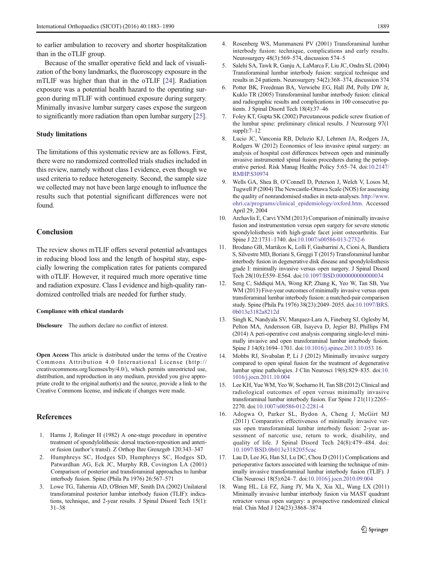<span id="page-6-0"></span>to earlier ambulation to recovery and shorter hospitalization than in the oTLIF group.

Because of the smaller operative field and lack of visualization of the bony landmarks, the fluoroscopy exposure in the mTLIF was higher than that in the oTLIF [\[24](#page-7-0)]. Radiation exposure was a potential health hazard to the operating surgeon during mTLIF with continued exposure during surgery. Minimally invasive lumbar surgery cases expose the surgeon to significantly more radiation than open lumbar surgery [[25\]](#page-7-0).

#### Study limitations

The limitations of this systematic review are as follows. First, there were no randomized controlled trials studies included in this review, namely without class I evidence, even though we used criteria to reduce heterogeneity. Second, the sample size we collected may not have been large enough to influence the results such that potential significant differences were not found.

#### **Conclusion**

The review shows mTLIF offers several potential advantages in reducing blood loss and the length of hospital stay, especially lowering the complication rates for patients compared with oTLIF. However, it required much more operative time and radiation exposure. Class I evidence and high-quality randomized controlled trials are needed for further study.

#### Compliance with ethical standards

Disclosure The authors declare no conflict of interest.

Open Access This article is distributed under the terms of the Creative Commons Attribution 4.0 International License (http:// creativecommons.org/licenses/by/4.0/), which permits unrestricted use, distribution, and reproduction in any medium, provided you give appropriate credit to the original author(s) and the source, provide a link to the Creative Commons license, and indicate if changes were made.

#### References

- 1. Harms J, Rolinger H (1982) A one-stage procedure in operative treatment of spondylolithesis: dorsal traction-reposition and anterior fusion (author's transl). Z Orthop Ihre Grenzgeb 120:343–347
- 2. Humphreys SC, Hodges SD, Humphreys SC, Hodges SD, Patwardhan AG, Eck JC, Murphy RB, Covington LA (2001) Comparison of posterior and transforaminal approaches to lumbar interbody fusion. Spine (Phila Pa 1976) 26:567–571
- 3. Lowe TG, Tahernia AD, O'Brien MF, Smith DA (2002) Unilateral transforaminal posterior lumbar interbody fusion (TLIF): indications, technique, and 2-year results. J Spinal Disord Tech 15(1): 31–38
- 4. Rosenberg WS, Mummaneni PV (2001) Transforaminal lumbar interbody fusion: technique, complications and early results. Neurosurgery 48(3):569–574, discussion 574–5
- 5. Salehi SA, Tawk R, Ganju A, LaMarca F, Liu JC, Ondra SL (2004) Transforaminal lumbar interbody fusion: surgical technique and results in 24 patients. Neurosurgery 54(2):368–374, discussion 374
- 6. Potter BK, Freedman BA, Verwiebe EG, Hall JM, Polly DW Jr, Kuklo TR (2005) Transforaminal lumbar interbody fusion: clinical and radiographic results and complications in 100 consecutive patients. J Spinal Disord Tech 18(4):37–46
- 7. Foley KT, Gupta SK (2002) Percutaneous pedicle screw fixation of the lumbar spine: preliminary clinical results. J Neurosurg 97(1 suppl):7–12
- 8. Lucio JC, Vanconia RB, Deluzio KJ, Lehmen JA, Rodgers JA, Rodgers W (2012) Economics of less invasive spinal surgery: an analysis of hospital cost differences between open and minimally invasive instrumented spinal fusion procedures during the perioperative period. Risk Manag Healthc Policy 5:65–74. doi[:10.2147/](http://dx.doi.org/10.2147/RMHP.S30974) [RMHP.S30974](http://dx.doi.org/10.2147/RMHP.S30974)
- 9. Wells GA, Shea B, O'Connell D, Peterson J, Welch V, Losos M, Tugwell P (2004) The Newcastle-Ottawa Scale (NOS) for assessing the quality of nonrandomised studies in meta-analyses. [http://www.](http://www.ohri.ca/programs/clinical_epidemiology/oxford.htm) [ohri.ca/programs/clinical\\_epidemiology/oxford.htm](http://www.ohri.ca/programs/clinical_epidemiology/oxford.htm). Accessed April 29, 2004
- 10. Archavlis E, Carvi YNM (2013) Comparison of minimally invasive fusion and instrumentation versus open surgery for severe stenotic spondylolisthesis with high-grade facet joint osteoarthritis. Eur Spine J 22:1731–1740. doi[:10.1007/s00586-013-2732-6](http://dx.doi.org/10.1007/s00586-013-2732-6)
- 11. Brodano GB, Martikos K, Lolli F, Gasbarrini A, Cioni A, Bandiera S, Silvestre MD, Boriani S, Greggi T (2015) Transforaminal lumbar interbody fusion in degenerative disk disease and spondylolisthesis grade I: minimally invasive versus open surgery. J Spinal Disord Tech 28(10):E559–E564. doi[:10.1097/BSD.0000000000000034](http://dx.doi.org/10.1097/BSD.0000000000000034)
- 12. Seng C, Siddiqui MA, Wong KP, Zhang K, Yeo W, Tan SB, Yue WM (2013) Five-year outcomes of minimally invasive versus open transforaminal lumbar interbody fusion: a matched-pair comparison study. Spine (Phila Pa 1976) 38(23):2049–2055. doi[:10.1097/BRS.](http://dx.doi.org/10.1097/BRS.0b013e3182a8212d) [0b013e3182a8212d](http://dx.doi.org/10.1097/BRS.0b013e3182a8212d)
- 13. Singh K, Nandyala SV, Marquez-Lara A, Fineberg SJ, Oglesby M, Pelton MA, Andersson GB, Isayeva D, Jegier BJ, Phillips FM (2014) A peri-operative cost analysis comparing single-level minimally invasive and open transforaminal lumbar interbody fusion. Spine J 14(8):1694–1701. doi:[10.1016/j.spinee.2013.10.053](http://dx.doi.org/10.1016/j.spinee.2013.10.053) 16
- 14. Mobbs RJ, Sivabalan P, Li J (2012) Minimally invasive surgery compared to open spinal fusion for the treatment of degenerative lumbar spine pathologies. J Clin Neurosci 19(6):829–835. doi[:10.](http://dx.doi.org/10.1016/j.jocn.2011.10.004) [1016/j.jocn.2011.10.004](http://dx.doi.org/10.1016/j.jocn.2011.10.004)
- 15. Lee KH, Yue WM, Yeo W, Soeharno H, Tan SB (2012) Clinical and radiological outcomes of open versus minimally invasive transforaminal lumbar interbody fusion. Eur Spine J 21(11):2265– 2270. doi:[10.1007/s00586-012-2281-4](http://dx.doi.org/10.1007/s00586-012-2281-4)
- 16. Adogwa O, Parker SL, Bydon A, Cheng J, McGirt MJ (2011) Comparative effectiveness of minimally invasive versus open transforaminal lumbar interbody fusion: 2-year assessment of narcotic use, return to work, disability, and quality of life. J Spinal Disord Tech 24(8):479–484. doi: [10.1097/BSD.0b013e3182055cac](http://dx.doi.org/10.1097/BSD.0b013e3182055cac)
- 17. Lau D, Lee JG, Han SJ, Lu DC, Chou D (2011) Complications and perioperative factors associated with learning the technique of minimally invasive transforaminal lumbar interbody fusion (TLIF). J Clin Neurosci 18(5):624–7. doi:[10.1016/j.jocn.2010.09.004](http://dx.doi.org/10.1016/j.jocn.2010.09.004.Epub2011Feb23)
- 18. Wang HL, Lü FZ, Jiang JY, Ma X, Xia XL, Wang LX (2011) Minimally invasive lumbar interbody fusion via MAST quadrant retractor versus open surgery: a prospective randomized clinical trial. Chin Med J 124(23):3868–3874